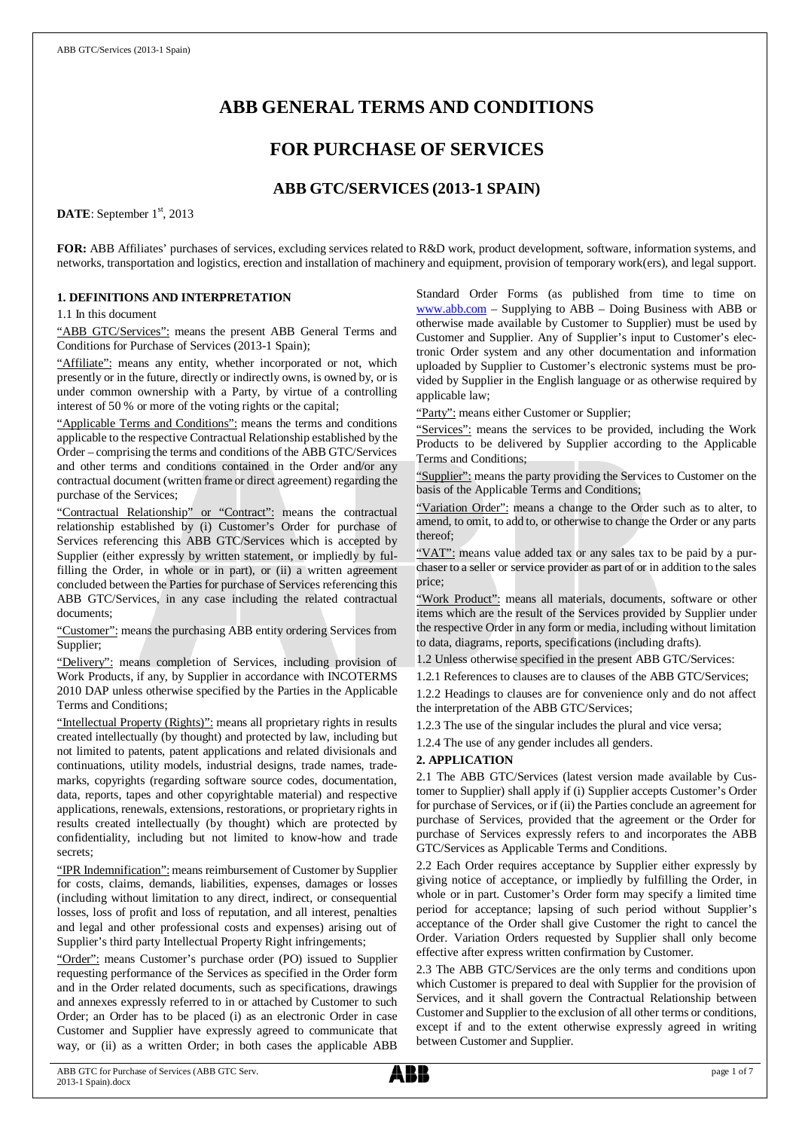# **ABB GENERAL TERMS AND CONDITIONS**

## **FOR PURCHASE OF SERVICES**

## **ABB GTC/SERVICES (2013-1 SPAIN)**

DATE: September 1<sup>st</sup>, 2013

**FOR:** ABB Affiliates' purchases of services, excluding services related to R&D work, product development, software, information systems, and networks, transportation and logistics, erection and installation of machinery and equipment, provision of temporary work(ers), and legal support.

#### **1. DEFINITIONS AND INTERPRETATION**

1.1 In this document

"ABB GTC/Services": means the present ABB General Terms and Conditions for Purchase of Services (2013-1 Spain);

"Affiliate": means any entity, whether incorporated or not, which presently or in the future, directly or indirectly owns, is owned by, or is under common ownership with a Party, by virtue of a controlling interest of 50 % or more of the voting rights or the capital;

"Applicable Terms and Conditions": means the terms and conditions applicable to the respective Contractual Relationship established by the Order – comprising the terms and conditions of the ABB GTC/Services and other terms and conditions contained in the Order and/or any contractual document (written frame or direct agreement) regarding the purchase of the Services;

"Contractual Relationship" or "Contract": means the contractual relationship established by (i) Customer's Order for purchase of Services referencing this ABB GTC/Services which is accepted by Supplier (either expressly by written statement, or impliedly by fulfilling the Order, in whole or in part), or (ii) a written agreement concluded between the Parties for purchase of Services referencing this ABB GTC/Services, in any case including the related contractual documents;

"Customer": means the purchasing ABB entity ordering Services from Supplier;

"Delivery": means completion of Services, including provision of Work Products, if any, by Supplier in accordance with INCOTERMS 2010 DAP unless otherwise specified by the Parties in the Applicable Terms and Conditions;

"Intellectual Property (Rights)": means all proprietary rights in results created intellectually (by thought) and protected by law, including but not limited to patents, patent applications and related divisionals and continuations, utility models, industrial designs, trade names, trademarks, copyrights (regarding software source codes, documentation, data, reports, tapes and other copyrightable material) and respective applications, renewals, extensions, restorations, or proprietary rights in results created intellectually (by thought) which are protected by confidentiality, including but not limited to know-how and trade secrets;

"IPR Indemnification": means reimbursement of Customer by Supplier for costs, claims, demands, liabilities, expenses, damages or losses (including without limitation to any direct, indirect, or consequential losses, loss of profit and loss of reputation, and all interest, penalties and legal and other professional costs and expenses) arising out of Supplier's third party Intellectual Property Right infringements;

"Order": means Customer's purchase order (PO) issued to Supplier requesting performance of the Services as specified in the Order form and in the Order related documents, such as specifications, drawings and annexes expressly referred to in or attached by Customer to such Order; an Order has to be placed (i) as an electronic Order in case Customer and Supplier have expressly agreed to communicate that way, or (ii) as a written Order; in both cases the applicable ABB

Standard Order Forms (as published from time to time on [www.abb.com](http://www.abb.com/) – Supplying to ABB – Doing Business with ABB or otherwise made available by Customer to Supplier) must be used by Customer and Supplier. Any of Supplier's input to Customer's electronic Order system and any other documentation and information uploaded by Supplier to Customer's electronic systems must be provided by Supplier in the English language or as otherwise required by applicable law;

"Party": means either Customer or Supplier;

"Services": means the services to be provided, including the Work Products to be delivered by Supplier according to the Applicable Terms and Conditions;

"Supplier": means the party providing the Services to Customer on the basis of the Applicable Terms and Conditions;

"Variation Order": means a change to the Order such as to alter, to amend, to omit, to add to, or otherwise to change the Order or any parts thereof;

"VAT": means value added tax or any sales tax to be paid by a purchaser to a seller or service provider as part of or in addition to the sales price;

"Work Product": means all materials, documents, software or other items which are the result of the Services provided by Supplier under the respective Order in any form or media, including without limitation to data, diagrams, reports, specifications (including drafts).

1.2 Unless otherwise specified in the present ABB GTC/Services:

1.2.1 References to clauses are to clauses of the ABB GTC/Services; 1.2.2 Headings to clauses are for convenience only and do not affect the interpretation of the ABB GTC/Services;

1.2.3 The use of the singular includes the plural and vice versa;

1.2.4 The use of any gender includes all genders.

#### **2. APPLICATION**

2.1 The ABB GTC/Services (latest version made available by Customer to Supplier) shall apply if (i) Supplier accepts Customer's Order for purchase of Services, or if (ii) the Parties conclude an agreement for purchase of Services, provided that the agreement or the Order for purchase of Services expressly refers to and incorporates the ABB GTC/Services as Applicable Terms and Conditions.

2.2 Each Order requires acceptance by Supplier either expressly by giving notice of acceptance, or impliedly by fulfilling the Order, in whole or in part. Customer's Order form may specify a limited time period for acceptance; lapsing of such period without Supplier's acceptance of the Order shall give Customer the right to cancel the Order. Variation Orders requested by Supplier shall only become effective after express written confirmation by Customer.

2.3 The ABB GTC/Services are the only terms and conditions upon which Customer is prepared to deal with Supplier for the provision of Services, and it shall govern the Contractual Relationship between Customer and Supplier to the exclusion of all other terms or conditions, except if and to the extent otherwise expressly agreed in writing between Customer and Supplier.

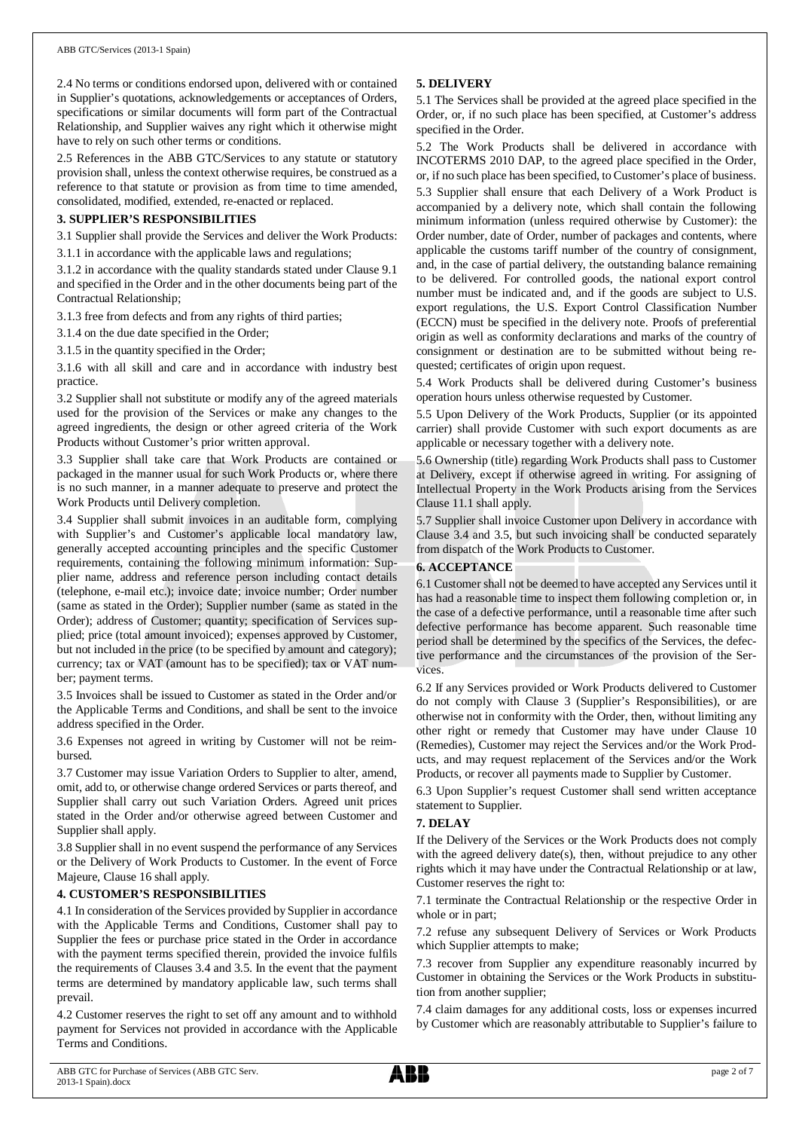2.4 No terms or conditions endorsed upon, delivered with or contained in Supplier's quotations, acknowledgements or acceptances of Orders, specifications or similar documents will form part of the Contractual Relationship, and Supplier waives any right which it otherwise might have to rely on such other terms or conditions.

2.5 References in the ABB GTC/Services to any statute or statutory provision shall, unless the context otherwise requires, be construed as a reference to that statute or provision as from time to time amended, consolidated, modified, extended, re-enacted or replaced.

#### **3. SUPPLIER'S RESPONSIBILITIES**

3.1 Supplier shall provide the Services and deliver the Work Products: 3.1.1 in accordance with the applicable laws and regulations;

3.1.2 in accordance with the quality standards stated under Clause 9.1 and specified in the Order and in the other documents being part of the

Contractual Relationship; 3.1.3 free from defects and from any rights of third parties;

3.1.4 on the due date specified in the Order;

3.1.5 in the quantity specified in the Order;

3.1.6 with all skill and care and in accordance with industry best practice.

3.2 Supplier shall not substitute or modify any of the agreed materials used for the provision of the Services or make any changes to the agreed ingredients, the design or other agreed criteria of the Work Products without Customer's prior written approval.

3.3 Supplier shall take care that Work Products are contained or packaged in the manner usual for such Work Products or, where there is no such manner, in a manner adequate to preserve and protect the Work Products until Delivery completion.

3.4 Supplier shall submit invoices in an auditable form, complying with Supplier's and Customer's applicable local mandatory law, generally accepted accounting principles and the specific Customer requirements, containing the following minimum information: Supplier name, address and reference person including contact details (telephone, e-mail etc.); invoice date; invoice number; Order number (same as stated in the Order); Supplier number (same as stated in the Order); address of Customer; quantity; specification of Services supplied; price (total amount invoiced); expenses approved by Customer, but not included in the price (to be specified by amount and category); currency; tax or VAT (amount has to be specified); tax or VAT number; payment terms.

3.5 Invoices shall be issued to Customer as stated in the Order and/or the Applicable Terms and Conditions, and shall be sent to the invoice address specified in the Order.

3.6 Expenses not agreed in writing by Customer will not be reimbursed.

3.7 Customer may issue Variation Orders to Supplier to alter, amend, omit, add to, or otherwise change ordered Services or parts thereof, and Supplier shall carry out such Variation Orders. Agreed unit prices stated in the Order and/or otherwise agreed between Customer and Supplier shall apply.

3.8 Supplier shall in no event suspend the performance of any Services or the Delivery of Work Products to Customer. In the event of Force Majeure, Clause 16 shall apply.

#### **4. CUSTOMER'S RESPONSIBILITIES**

4.1 In consideration of the Services provided by Supplier in accordance with the Applicable Terms and Conditions, Customer shall pay to Supplier the fees or purchase price stated in the Order in accordance with the payment terms specified therein, provided the invoice fulfils the requirements of Clauses 3.4 and 3.5. In the event that the payment terms are determined by mandatory applicable law, such terms shall prevail.

4.2 Customer reserves the right to set off any amount and to withhold payment for Services not provided in accordance with the Applicable Terms and Conditions.

#### **5. DELIVERY**

5.1 The Services shall be provided at the agreed place specified in the Order, or, if no such place has been specified, at Customer's address specified in the Order.

5.2 The Work Products shall be delivered in accordance with INCOTERMS 2010 DAP, to the agreed place specified in the Order, or, if no such place has been specified, to Customer's place of business. 5.3 Supplier shall ensure that each Delivery of a Work Product is accompanied by a delivery note, which shall contain the following minimum information (unless required otherwise by Customer): the Order number, date of Order, number of packages and contents, where applicable the customs tariff number of the country of consignment, and, in the case of partial delivery, the outstanding balance remaining to be delivered. For controlled goods, the national export control number must be indicated and, and if the goods are subject to U.S. export regulations, the U.S. Export Control Classification Number (ECCN) must be specified in the delivery note. Proofs of preferential origin as well as conformity declarations and marks of the country of consignment or destination are to be submitted without being requested; certificates of origin upon request.

5.4 Work Products shall be delivered during Customer's business operation hours unless otherwise requested by Customer.

5.5 Upon Delivery of the Work Products, Supplier (or its appointed carrier) shall provide Customer with such export documents as are applicable or necessary together with a delivery note.

5.6 Ownership (title) regarding Work Products shall pass to Customer at Delivery, except if otherwise agreed in writing. For assigning of Intellectual Property in the Work Products arising from the Services Clause 11.1 shall apply.

5.7 Supplier shall invoice Customer upon Delivery in accordance with Clause 3.4 and 3.5, but such invoicing shall be conducted separately from dispatch of the Work Products to Customer.

#### **6. ACCEPTANCE**

6.1 Customer shall not be deemed to have accepted any Services until it has had a reasonable time to inspect them following completion or, in the case of a defective performance, until a reasonable time after such defective performance has become apparent. Such reasonable time period shall be determined by the specifics of the Services, the defective performance and the circumstances of the provision of the Services.

6.2 If any Services provided or Work Products delivered to Customer do not comply with Clause 3 (Supplier's Responsibilities), or are otherwise not in conformity with the Order, then, without limiting any other right or remedy that Customer may have under Clause 10 (Remedies), Customer may reject the Services and/or the Work Products, and may request replacement of the Services and/or the Work Products, or recover all payments made to Supplier by Customer.

6.3 Upon Supplier's request Customer shall send written acceptance statement to Supplier.

#### **7. DELAY**

If the Delivery of the Services or the Work Products does not comply with the agreed delivery date(s), then, without prejudice to any other rights which it may have under the Contractual Relationship or at law, Customer reserves the right to:

7.1 terminate the Contractual Relationship or the respective Order in whole or in part;

7.2 refuse any subsequent Delivery of Services or Work Products which Supplier attempts to make;

7.3 recover from Supplier any expenditure reasonably incurred by Customer in obtaining the Services or the Work Products in substitution from another supplier;

7.4 claim damages for any additional costs, loss or expenses incurred by Customer which are reasonably attributable to Supplier's failure to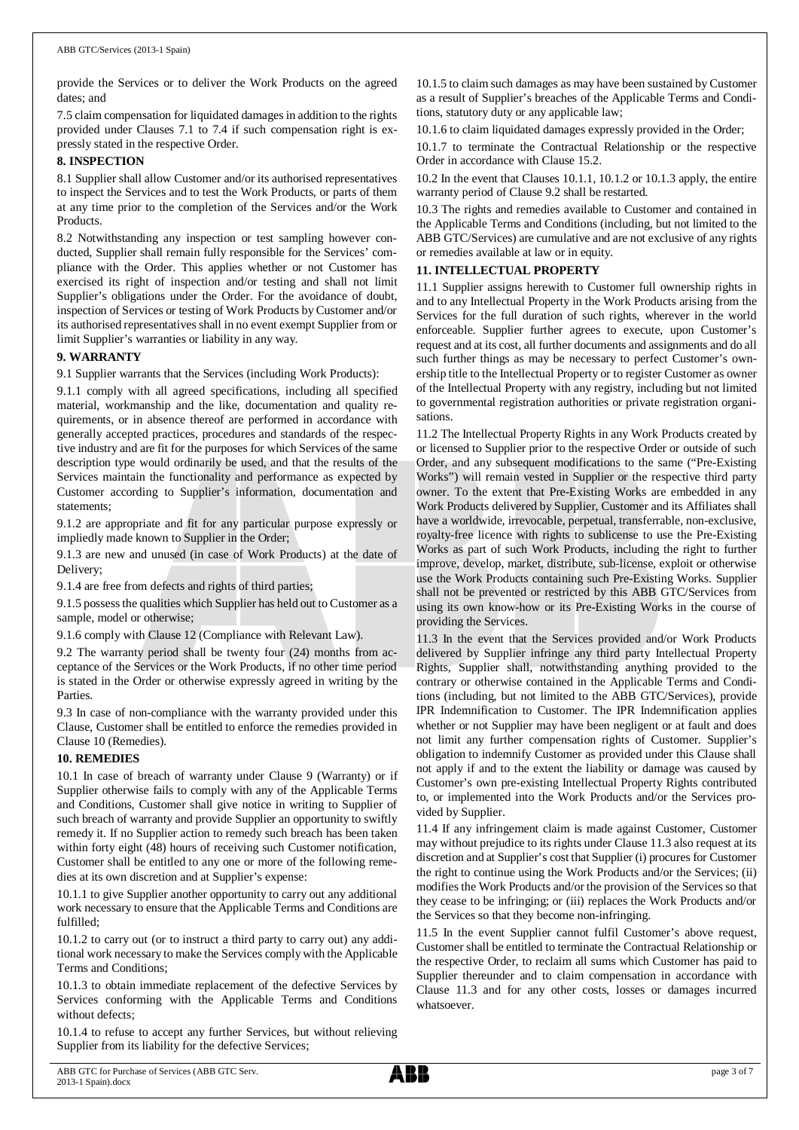provide the Services or to deliver the Work Products on the agreed dates; and

7.5 claim compensation for liquidated damages in addition to the rights provided under Clauses 7.1 to 7.4 if such compensation right is expressly stated in the respective Order.

#### **8. INSPECTION**

8.1 Supplier shall allow Customer and/or its authorised representatives to inspect the Services and to test the Work Products, or parts of them at any time prior to the completion of the Services and/or the Work Products.

8.2 Notwithstanding any inspection or test sampling however conducted, Supplier shall remain fully responsible for the Services' compliance with the Order. This applies whether or not Customer has exercised its right of inspection and/or testing and shall not limit Supplier's obligations under the Order. For the avoidance of doubt, inspection of Services or testing of Work Products by Customer and/or its authorised representatives shall in no event exempt Supplier from or limit Supplier's warranties or liability in any way.

#### **9. WARRANTY**

9.1 Supplier warrants that the Services (including Work Products):

9.1.1 comply with all agreed specifications, including all specified material, workmanship and the like, documentation and quality requirements, or in absence thereof are performed in accordance with generally accepted practices, procedures and standards of the respective industry and are fit for the purposes for which Services of the same description type would ordinarily be used, and that the results of the Services maintain the functionality and performance as expected by Customer according to Supplier's information, documentation and statements;

9.1.2 are appropriate and fit for any particular purpose expressly or impliedly made known to Supplier in the Order;

9.1.3 are new and unused (in case of Work Products) at the date of Delivery;

9.1.4 are free from defects and rights of third parties;

9.1.5 possess the qualities which Supplier has held out to Customer as a sample, model or otherwise;

9.1.6 comply with Clause 12 (Compliance with Relevant Law).

9.2 The warranty period shall be twenty four (24) months from acceptance of the Services or the Work Products, if no other time period is stated in the Order or otherwise expressly agreed in writing by the Parties.

9.3 In case of non-compliance with the warranty provided under this Clause, Customer shall be entitled to enforce the remedies provided in Clause 10 (Remedies).

#### **10. REMEDIES**

10.1 In case of breach of warranty under Clause 9 (Warranty) or if Supplier otherwise fails to comply with any of the Applicable Terms and Conditions, Customer shall give notice in writing to Supplier of such breach of warranty and provide Supplier an opportunity to swiftly remedy it. If no Supplier action to remedy such breach has been taken within forty eight (48) hours of receiving such Customer notification, Customer shall be entitled to any one or more of the following remedies at its own discretion and at Supplier's expense:

10.1.1 to give Supplier another opportunity to carry out any additional work necessary to ensure that the Applicable Terms and Conditions are fulfilled;

10.1.2 to carry out (or to instruct a third party to carry out) any additional work necessary to make the Services comply with the Applicable Terms and Conditions;

10.1.3 to obtain immediate replacement of the defective Services by Services conforming with the Applicable Terms and Conditions without defects;

10.1.4 to refuse to accept any further Services, but without relieving Supplier from its liability for the defective Services;

10.1.5 to claim such damages as may have been sustained by Customer as a result of Supplier's breaches of the Applicable Terms and Conditions, statutory duty or any applicable law;

10.1.6 to claim liquidated damages expressly provided in the Order;

10.1.7 to terminate the Contractual Relationship or the respective Order in accordance with Clause 15.2.

10.2 In the event that Clauses 10.1.1, 10.1.2 or 10.1.3 apply, the entire warranty period of Clause 9.2 shall be restarted.

10.3 The rights and remedies available to Customer and contained in the Applicable Terms and Conditions (including, but not limited to the ABB GTC/Services) are cumulative and are not exclusive of any rights or remedies available at law or in equity.

#### **11. INTELLECTUAL PROPERTY**

11.1 Supplier assigns herewith to Customer full ownership rights in and to any Intellectual Property in the Work Products arising from the Services for the full duration of such rights, wherever in the world enforceable. Supplier further agrees to execute, upon Customer's request and at its cost, all further documents and assignments and do all such further things as may be necessary to perfect Customer's ownership title to the Intellectual Property or to register Customer as owner of the Intellectual Property with any registry, including but not limited to governmental registration authorities or private registration organisations.

11.2 The Intellectual Property Rights in any Work Products created by or licensed to Supplier prior to the respective Order or outside of such Order, and any subsequent modifications to the same ("Pre-Existing Works") will remain vested in Supplier or the respective third party owner. To the extent that Pre-Existing Works are embedded in any Work Products delivered by Supplier, Customer and its Affiliates shall have a worldwide, irrevocable, perpetual, transferrable, non-exclusive, royalty-free licence with rights to sublicense to use the Pre-Existing Works as part of such Work Products, including the right to further improve, develop, market, distribute, sub-license, exploit or otherwise use the Work Products containing such Pre-Existing Works. Supplier shall not be prevented or restricted by this ABB GTC/Services from using its own know-how or its Pre-Existing Works in the course of providing the Services.

11.3 In the event that the Services provided and/or Work Products delivered by Supplier infringe any third party Intellectual Property Rights, Supplier shall, notwithstanding anything provided to the contrary or otherwise contained in the Applicable Terms and Conditions (including, but not limited to the ABB GTC/Services), provide IPR Indemnification to Customer. The IPR Indemnification applies whether or not Supplier may have been negligent or at fault and does not limit any further compensation rights of Customer. Supplier's obligation to indemnify Customer as provided under this Clause shall not apply if and to the extent the liability or damage was caused by Customer's own pre-existing Intellectual Property Rights contributed to, or implemented into the Work Products and/or the Services provided by Supplier.

11.4 If any infringement claim is made against Customer, Customer may without prejudice to its rights under Clause 11.3 also request at its discretion and at Supplier's cost that Supplier (i) procures for Customer the right to continue using the Work Products and/or the Services; (ii) modifies the Work Products and/or the provision of the Services so that they cease to be infringing; or (iii) replaces the Work Products and/or the Services so that they become non-infringing.

11.5 In the event Supplier cannot fulfil Customer's above request, Customer shall be entitled to terminate the Contractual Relationship or the respective Order, to reclaim all sums which Customer has paid to Supplier thereunder and to claim compensation in accordance with Clause 11.3 and for any other costs, losses or damages incurred whatsoever.

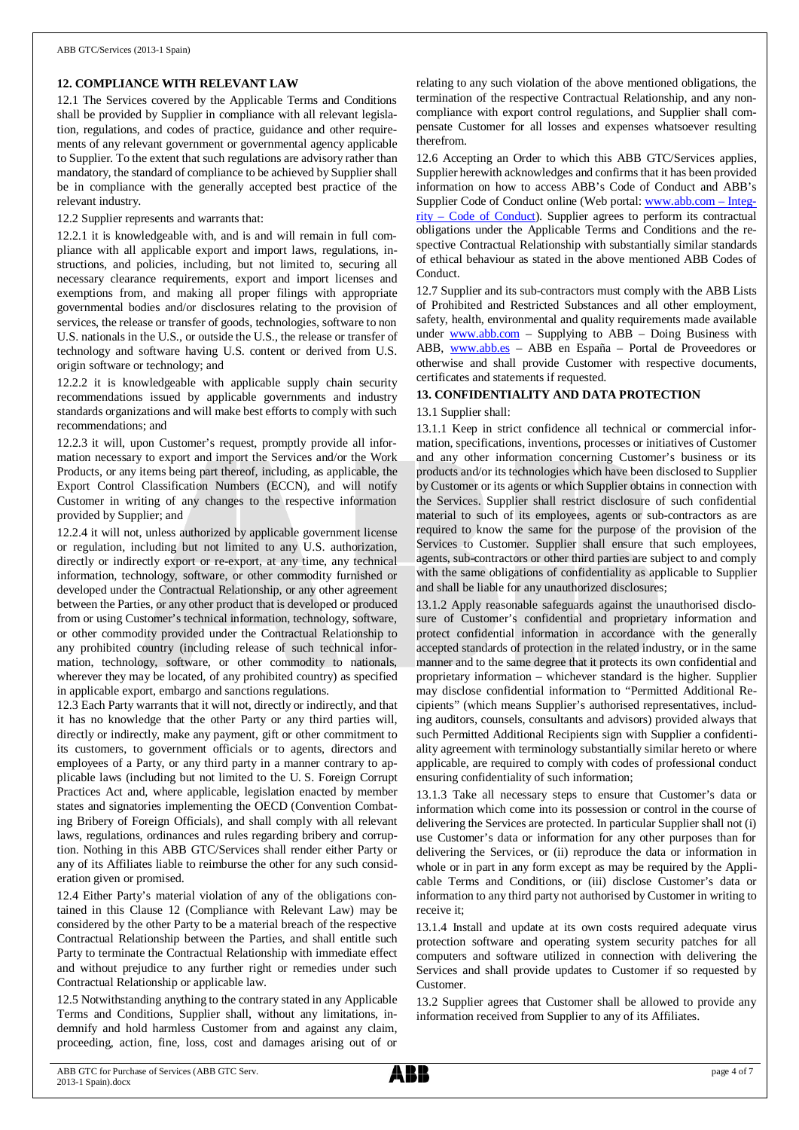#### **12. COMPLIANCE WITH RELEVANT LAW**

12.1 The Services covered by the Applicable Terms and Conditions shall be provided by Supplier in compliance with all relevant legislation, regulations, and codes of practice, guidance and other requirements of any relevant government or governmental agency applicable to Supplier. To the extent that such regulations are advisory rather than mandatory, the standard of compliance to be achieved by Supplier shall be in compliance with the generally accepted best practice of the relevant industry.

12.2 Supplier represents and warrants that:

12.2.1 it is knowledgeable with, and is and will remain in full compliance with all applicable export and import laws, regulations, instructions, and policies, including, but not limited to, securing all necessary clearance requirements, export and import licenses and exemptions from, and making all proper filings with appropriate governmental bodies and/or disclosures relating to the provision of services, the release or transfer of goods, technologies, software to non U.S. nationals in the U.S., or outside the U.S., the release or transfer of technology and software having U.S. content or derived from U.S. origin software or technology; and

12.2.2 it is knowledgeable with applicable supply chain security recommendations issued by applicable governments and industry standards organizations and will make best efforts to comply with such recommendations; and

12.2.3 it will, upon Customer's request, promptly provide all information necessary to export and import the Services and/or the Work Products, or any items being part thereof, including, as applicable, the Export Control Classification Numbers (ECCN), and will notify Customer in writing of any changes to the respective information provided by Supplier; and

12.2.4 it will not, unless authorized by applicable government license or regulation, including but not limited to any U.S. authorization, directly or indirectly export or re-export, at any time, any technical information, technology, software, or other commodity furnished or developed under the Contractual Relationship, or any other agreement between the Parties, or any other product that is developed or produced from or using Customer's technical information, technology, software, or other commodity provided under the Contractual Relationship to any prohibited country (including release of such technical information, technology, software, or other commodity to nationals, wherever they may be located, of any prohibited country) as specified in applicable export, embargo and sanctions regulations.

12.3 Each Party warrants that it will not, directly or indirectly, and that it has no knowledge that the other Party or any third parties will, directly or indirectly, make any payment, gift or other commitment to its customers, to government officials or to agents, directors and employees of a Party, or any third party in a manner contrary to applicable laws (including but not limited to the U. S. Foreign Corrupt Practices Act and, where applicable, legislation enacted by member states and signatories implementing the OECD (Convention Combating Bribery of Foreign Officials), and shall comply with all relevant laws, regulations, ordinances and rules regarding bribery and corruption. Nothing in this ABB GTC/Services shall render either Party or any of its Affiliates liable to reimburse the other for any such consideration given or promised.

12.4 Either Party's material violation of any of the obligations contained in this Clause 12 (Compliance with Relevant Law) may be considered by the other Party to be a material breach of the respective Contractual Relationship between the Parties, and shall entitle such Party to terminate the Contractual Relationship with immediate effect and without prejudice to any further right or remedies under such Contractual Relationship or applicable law.

12.5 Notwithstanding anything to the contrary stated in any Applicable Terms and Conditions, Supplier shall, without any limitations, indemnify and hold harmless Customer from and against any claim, proceeding, action, fine, loss, cost and damages arising out of or

relating to any such violation of the above mentioned obligations, the termination of the respective Contractual Relationship, and any noncompliance with export control regulations, and Supplier shall compensate Customer for all losses and expenses whatsoever resulting therefrom.

12.6 Accepting an Order to which this ABB GTC/Services applies, Supplier herewith acknowledges and confirms that it has been provided information on how to access ABB's Code of Conduct and ABB's Supplier Code of Conduct online (Web portal: [www.abb.com](http://www.abb.com/) – Integrity – Code of Conduct). Supplier agrees to perform its contractual obligations under the Applicable Terms and Conditions and the respective Contractual Relationship with substantially similar standards of ethical behaviour as stated in the above mentioned ABB Codes of Conduct.

12.7 Supplier and its sub-contractors must comply with the ABB Lists of Prohibited and Restricted Substances and all other employment, safety, health, environmental and quality requirements made available under  $www.abb.com - Supplying to ABB - Doing Business with$  $www.abb.com - Supplying to ABB - Doing Business with$ ABB, [www.abb.es](http://www.abb.es/) – ABB en España – Portal de Proveedores or otherwise and shall provide Customer with respective documents, certificates and statements if requested.

### **13. CONFIDENTIALITY AND DATA PROTECTION**

#### 13.1 Supplier shall:

13.1.1 Keep in strict confidence all technical or commercial information, specifications, inventions, processes or initiatives of Customer and any other information concerning Customer's business or its products and/or its technologies which have been disclosed to Supplier by Customer or its agents or which Supplier obtains in connection with the Services. Supplier shall restrict disclosure of such confidential material to such of its employees, agents or sub-contractors as are required to know the same for the purpose of the provision of the Services to Customer. Supplier shall ensure that such employees, agents, sub-contractors or other third parties are subject to and comply with the same obligations of confidentiality as applicable to Supplier and shall be liable for any unauthorized disclosures;

13.1.2 Apply reasonable safeguards against the unauthorised disclosure of Customer's confidential and proprietary information and protect confidential information in accordance with the generally accepted standards of protection in the related industry, or in the same manner and to the same degree that it protects its own confidential and proprietary information – whichever standard is the higher. Supplier may disclose confidential information to "Permitted Additional Recipients" (which means Supplier's authorised representatives, including auditors, counsels, consultants and advisors) provided always that such Permitted Additional Recipients sign with Supplier a confidentiality agreement with terminology substantially similar hereto or where applicable, are required to comply with codes of professional conduct ensuring confidentiality of such information;

13.1.3 Take all necessary steps to ensure that Customer's data or information which come into its possession or control in the course of delivering the Services are protected. In particular Supplier shall not (i) use Customer's data or information for any other purposes than for delivering the Services, or (ii) reproduce the data or information in whole or in part in any form except as may be required by the Applicable Terms and Conditions, or (iii) disclose Customer's data or information to any third party not authorised by Customer in writing to receive it;

13.1.4 Install and update at its own costs required adequate virus protection software and operating system security patches for all computers and software utilized in connection with delivering the Services and shall provide updates to Customer if so requested by Customer.

13.2 Supplier agrees that Customer shall be allowed to provide any information received from Supplier to any of its Affiliates.

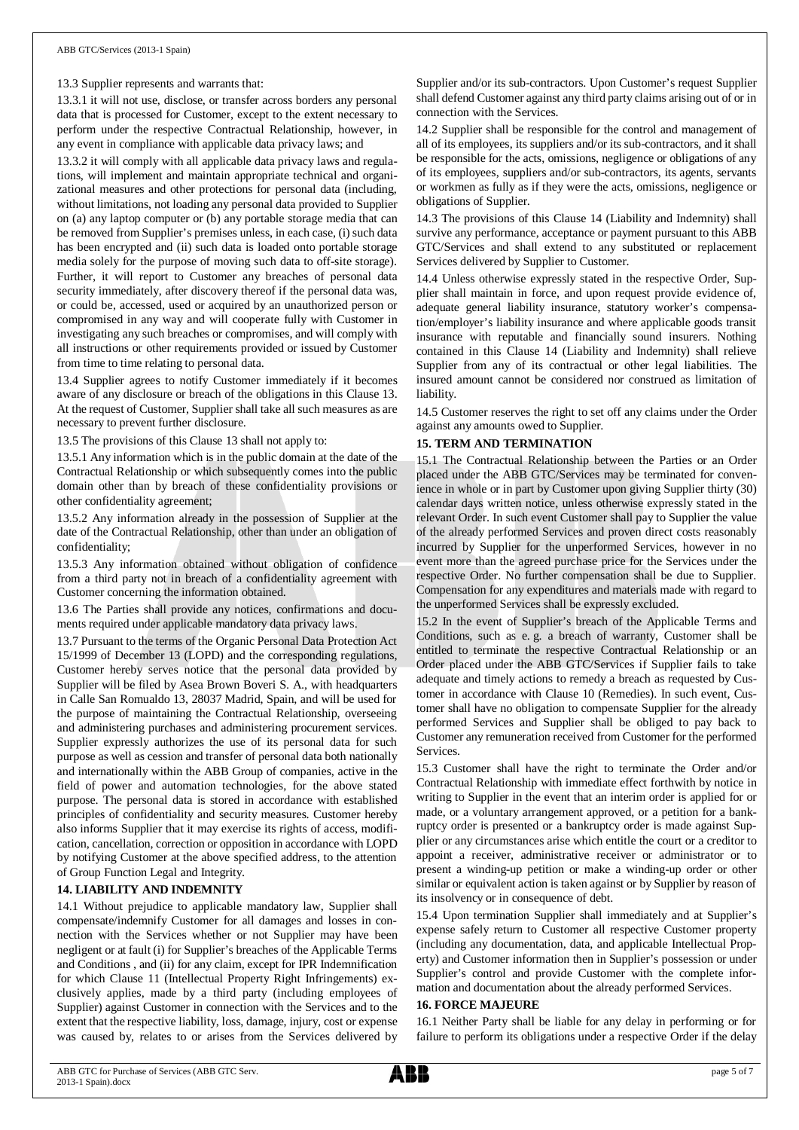#### 13.3 Supplier represents and warrants that:

13.3.1 it will not use, disclose, or transfer across borders any personal data that is processed for Customer, except to the extent necessary to perform under the respective Contractual Relationship, however, in any event in compliance with applicable data privacy laws; and

13.3.2 it will comply with all applicable data privacy laws and regulations, will implement and maintain appropriate technical and organizational measures and other protections for personal data (including, without limitations, not loading any personal data provided to Supplier on (a) any laptop computer or (b) any portable storage media that can be removed from Supplier's premises unless, in each case, (i) such data has been encrypted and (ii) such data is loaded onto portable storage media solely for the purpose of moving such data to off-site storage). Further, it will report to Customer any breaches of personal data security immediately, after discovery thereof if the personal data was, or could be, accessed, used or acquired by an unauthorized person or compromised in any way and will cooperate fully with Customer in investigating any such breaches or compromises, and will comply with all instructions or other requirements provided or issued by Customer from time to time relating to personal data.

13.4 Supplier agrees to notify Customer immediately if it becomes aware of any disclosure or breach of the obligations in this Clause 13. At the request of Customer, Supplier shall take all such measures as are necessary to prevent further disclosure.

13.5 The provisions of this Clause 13 shall not apply to:

13.5.1 Any information which is in the public domain at the date of the Contractual Relationship or which subsequently comes into the public domain other than by breach of these confidentiality provisions or other confidentiality agreement;

13.5.2 Any information already in the possession of Supplier at the date of the Contractual Relationship, other than under an obligation of confidentiality;

13.5.3 Any information obtained without obligation of confidence from a third party not in breach of a confidentiality agreement with Customer concerning the information obtained.

13.6 The Parties shall provide any notices, confirmations and documents required under applicable mandatory data privacy laws.

13.7 Pursuant to the terms of the Organic Personal Data Protection Act 15/1999 of December 13 (LOPD) and the corresponding regulations, Customer hereby serves notice that the personal data provided by Supplier will be filed by Asea Brown Boveri S. A., with headquarters in Calle San Romualdo 13, 28037 Madrid, Spain, and will be used for the purpose of maintaining the Contractual Relationship, overseeing and administering purchases and administering procurement services. Supplier expressly authorizes the use of its personal data for such purpose as well as cession and transfer of personal data both nationally and internationally within the ABB Group of companies, active in the field of power and automation technologies, for the above stated purpose. The personal data is stored in accordance with established principles of confidentiality and security measures. Customer hereby also informs Supplier that it may exercise its rights of access, modification, cancellation, correction or opposition in accordance with LOPD by notifying Customer at the above specified address, to the attention of Group Function Legal and Integrity.

#### **14. LIABILITY AND INDEMNITY**

14.1 Without prejudice to applicable mandatory law, Supplier shall compensate/indemnify Customer for all damages and losses in connection with the Services whether or not Supplier may have been negligent or at fault (i) for Supplier's breaches of the Applicable Terms and Conditions , and (ii) for any claim, except for IPR Indemnification for which Clause 11 (Intellectual Property Right Infringements) exclusively applies, made by a third party (including employees of Supplier) against Customer in connection with the Services and to the extent that the respective liability, loss, damage, injury, cost or expense was caused by, relates to or arises from the Services delivered by Supplier and/or its sub-contractors. Upon Customer's request Supplier shall defend Customer against any third party claims arising out of or in connection with the Services.

14.2 Supplier shall be responsible for the control and management of all of its employees, its suppliers and/or its sub-contractors, and it shall be responsible for the acts, omissions, negligence or obligations of any of its employees, suppliers and/or sub-contractors, its agents, servants or workmen as fully as if they were the acts, omissions, negligence or obligations of Supplier.

14.3 The provisions of this Clause 14 (Liability and Indemnity) shall survive any performance, acceptance or payment pursuant to this ABB GTC/Services and shall extend to any substituted or replacement Services delivered by Supplier to Customer.

14.4 Unless otherwise expressly stated in the respective Order, Supplier shall maintain in force, and upon request provide evidence of, adequate general liability insurance, statutory worker's compensation/employer's liability insurance and where applicable goods transit insurance with reputable and financially sound insurers. Nothing contained in this Clause 14 (Liability and Indemnity) shall relieve Supplier from any of its contractual or other legal liabilities. The insured amount cannot be considered nor construed as limitation of liability.

14.5 Customer reserves the right to set off any claims under the Order against any amounts owed to Supplier.

#### **15. TERM AND TERMINATION**

15.1 The Contractual Relationship between the Parties or an Order placed under the ABB GTC/Services may be terminated for convenience in whole or in part by Customer upon giving Supplier thirty (30) calendar days written notice, unless otherwise expressly stated in the relevant Order. In such event Customer shall pay to Supplier the value of the already performed Services and proven direct costs reasonably incurred by Supplier for the unperformed Services, however in no event more than the agreed purchase price for the Services under the respective Order. No further compensation shall be due to Supplier. Compensation for any expenditures and materials made with regard to the unperformed Services shall be expressly excluded.

15.2 In the event of Supplier's breach of the Applicable Terms and Conditions, such as e. g. a breach of warranty, Customer shall be entitled to terminate the respective Contractual Relationship or an Order placed under the ABB GTC/Services if Supplier fails to take adequate and timely actions to remedy a breach as requested by Customer in accordance with Clause 10 (Remedies). In such event, Customer shall have no obligation to compensate Supplier for the already performed Services and Supplier shall be obliged to pay back to Customer any remuneration received from Customer for the performed Services.

15.3 Customer shall have the right to terminate the Order and/or Contractual Relationship with immediate effect forthwith by notice in writing to Supplier in the event that an interim order is applied for or made, or a voluntary arrangement approved, or a petition for a bankruptcy order is presented or a bankruptcy order is made against Supplier or any circumstances arise which entitle the court or a creditor to appoint a receiver, administrative receiver or administrator or to present a winding-up petition or make a winding-up order or other similar or equivalent action is taken against or by Supplier by reason of its insolvency or in consequence of debt.

15.4 Upon termination Supplier shall immediately and at Supplier's expense safely return to Customer all respective Customer property (including any documentation, data, and applicable Intellectual Property) and Customer information then in Supplier's possession or under Supplier's control and provide Customer with the complete information and documentation about the already performed Services.

#### **16. FORCE MAJEURE**

16.1 Neither Party shall be liable for any delay in performing or for failure to perform its obligations under a respective Order if the delay

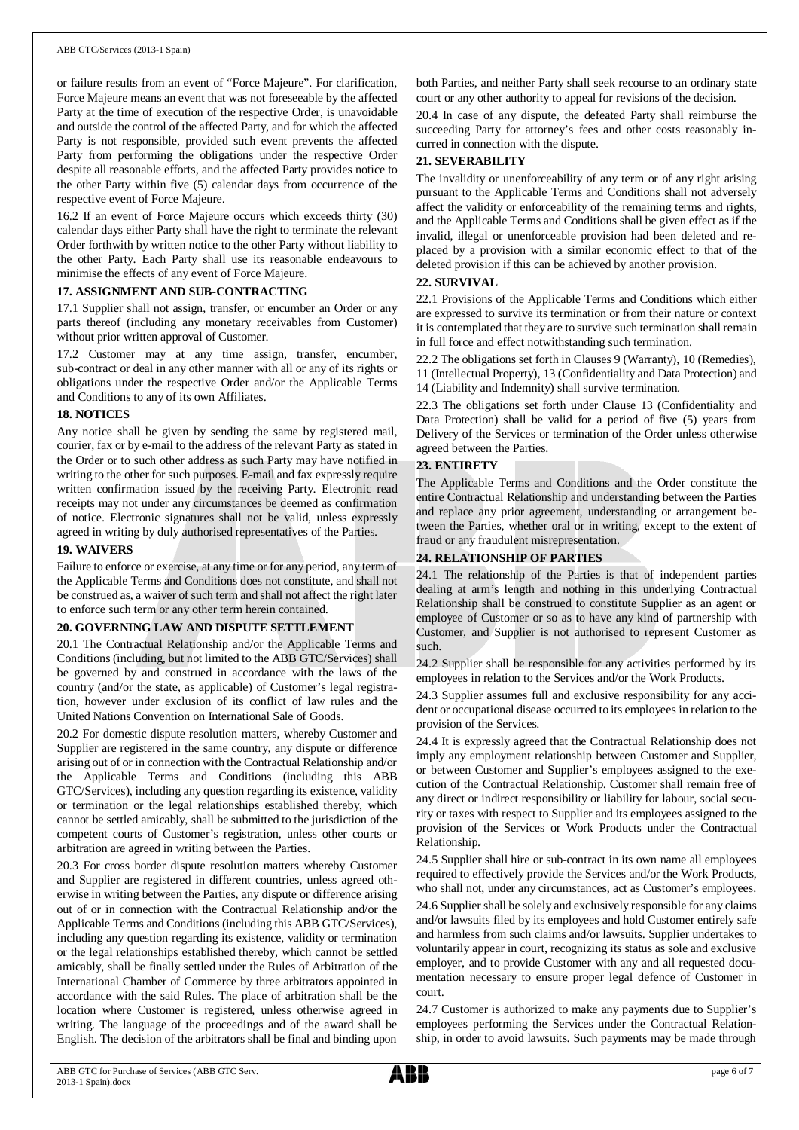or failure results from an event of "Force Majeure". For clarification, Force Majeure means an event that was not foreseeable by the affected Party at the time of execution of the respective Order, is unavoidable and outside the control of the affected Party, and for which the affected Party is not responsible, provided such event prevents the affected Party from performing the obligations under the respective Order despite all reasonable efforts, and the affected Party provides notice to the other Party within five (5) calendar days from occurrence of the respective event of Force Majeure.

16.2 If an event of Force Majeure occurs which exceeds thirty (30) calendar days either Party shall have the right to terminate the relevant Order forthwith by written notice to the other Party without liability to the other Party. Each Party shall use its reasonable endeavours to minimise the effects of any event of Force Majeure.

#### **17. ASSIGNMENT AND SUB-CONTRACTING**

17.1 Supplier shall not assign, transfer, or encumber an Order or any parts thereof (including any monetary receivables from Customer) without prior written approval of Customer.

17.2 Customer may at any time assign, transfer, encumber, sub-contract or deal in any other manner with all or any of its rights or obligations under the respective Order and/or the Applicable Terms and Conditions to any of its own Affiliates.

#### **18. NOTICES**

Any notice shall be given by sending the same by registered mail, courier, fax or by e-mail to the address of the relevant Party as stated in the Order or to such other address as such Party may have notified in writing to the other for such purposes. E-mail and fax expressly require written confirmation issued by the receiving Party. Electronic read receipts may not under any circumstances be deemed as confirmation of notice. Electronic signatures shall not be valid, unless expressly agreed in writing by duly authorised representatives of the Parties.

#### **19. WAIVERS**

Failure to enforce or exercise, at any time or for any period, any term of the Applicable Terms and Conditions does not constitute, and shall not be construed as, a waiver of such term and shall not affect the right later to enforce such term or any other term herein contained.

#### **20. GOVERNING LAW AND DISPUTE SETTLEMENT**

20.1 The Contractual Relationship and/or the Applicable Terms and Conditions (including, but not limited to the ABB GTC/Services) shall be governed by and construed in accordance with the laws of the country (and/or the state, as applicable) of Customer's legal registration, however under exclusion of its conflict of law rules and the United Nations Convention on International Sale of Goods.

20.2 For domestic dispute resolution matters, whereby Customer and Supplier are registered in the same country, any dispute or difference arising out of or in connection with the Contractual Relationship and/or the Applicable Terms and Conditions (including this ABB GTC/Services), including any question regarding its existence, validity or termination or the legal relationships established thereby, which cannot be settled amicably, shall be submitted to the jurisdiction of the competent courts of Customer's registration, unless other courts or arbitration are agreed in writing between the Parties.

20.3 For cross border dispute resolution matters whereby Customer and Supplier are registered in different countries, unless agreed otherwise in writing between the Parties, any dispute or difference arising out of or in connection with the Contractual Relationship and/or the Applicable Terms and Conditions (including this ABB GTC/Services), including any question regarding its existence, validity or termination or the legal relationships established thereby, which cannot be settled amicably, shall be finally settled under the Rules of Arbitration of the International Chamber of Commerce by three arbitrators appointed in accordance with the said Rules. The place of arbitration shall be the location where Customer is registered, unless otherwise agreed in writing. The language of the proceedings and of the award shall be English. The decision of the arbitrators shall be final and binding upon

both Parties, and neither Party shall seek recourse to an ordinary state court or any other authority to appeal for revisions of the decision.

20.4 In case of any dispute, the defeated Party shall reimburse the succeeding Party for attorney's fees and other costs reasonably incurred in connection with the dispute.

#### **21. SEVERABILITY**

The invalidity or unenforceability of any term or of any right arising pursuant to the Applicable Terms and Conditions shall not adversely affect the validity or enforceability of the remaining terms and rights, and the Applicable Terms and Conditions shall be given effect as if the invalid, illegal or unenforceable provision had been deleted and replaced by a provision with a similar economic effect to that of the deleted provision if this can be achieved by another provision.

#### **22. SURVIVAL**

22.1 Provisions of the Applicable Terms and Conditions which either are expressed to survive its termination or from their nature or context it is contemplated that they are to survive such termination shall remain in full force and effect notwithstanding such termination.

22.2 The obligations set forth in Clauses 9 (Warranty), 10 (Remedies), 11 (Intellectual Property), 13 (Confidentiality and Data Protection) and 14 (Liability and Indemnity) shall survive termination.

22.3 The obligations set forth under Clause 13 (Confidentiality and Data Protection) shall be valid for a period of five (5) years from Delivery of the Services or termination of the Order unless otherwise agreed between the Parties.

### **23. ENTIRETY**

The Applicable Terms and Conditions and the Order constitute the entire Contractual Relationship and understanding between the Parties and replace any prior agreement, understanding or arrangement between the Parties, whether oral or in writing, except to the extent of fraud or any fraudulent misrepresentation.

#### **24. RELATIONSHIP OF PARTIES**

24.1 The relationship of the Parties is that of independent parties dealing at arm's length and nothing in this underlying Contractual Relationship shall be construed to constitute Supplier as an agent or employee of Customer or so as to have any kind of partnership with Customer, and Supplier is not authorised to represent Customer as such.

24.2 Supplier shall be responsible for any activities performed by its employees in relation to the Services and/or the Work Products.

24.3 Supplier assumes full and exclusive responsibility for any accident or occupational disease occurred to its employees in relation to the provision of the Services.

24.4 It is expressly agreed that the Contractual Relationship does not imply any employment relationship between Customer and Supplier, or between Customer and Supplier's employees assigned to the execution of the Contractual Relationship. Customer shall remain free of any direct or indirect responsibility or liability for labour, social security or taxes with respect to Supplier and its employees assigned to the provision of the Services or Work Products under the Contractual Relationship.

24.5 Supplier shall hire or sub-contract in its own name all employees required to effectively provide the Services and/or the Work Products, who shall not, under any circumstances, act as Customer's employees.

24.6 Supplier shall be solely and exclusively responsible for any claims and/or lawsuits filed by its employees and hold Customer entirely safe and harmless from such claims and/or lawsuits. Supplier undertakes to voluntarily appear in court, recognizing its status as sole and exclusive employer, and to provide Customer with any and all requested documentation necessary to ensure proper legal defence of Customer in court.

24.7 Customer is authorized to make any payments due to Supplier's employees performing the Services under the Contractual Relationship, in order to avoid lawsuits. Such payments may be made through